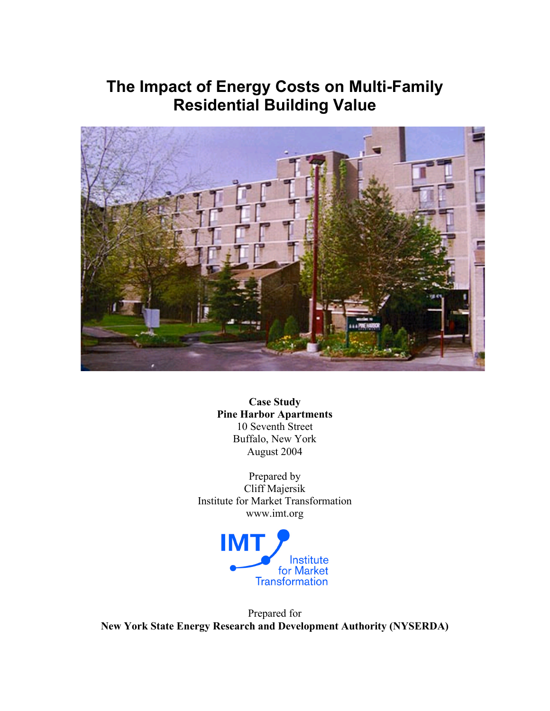## **The Impact of Energy Costs on Multi-Family Residential Building Value**



**Case Study Pine Harbor Apartments** 10 Seventh Street Buffalo, New York August 2004

Prepared by Cliff Majersik Institute for Market Transformation www.imt.org



Prepared for **New York State Energy Research and Development Authority (NYSERDA)**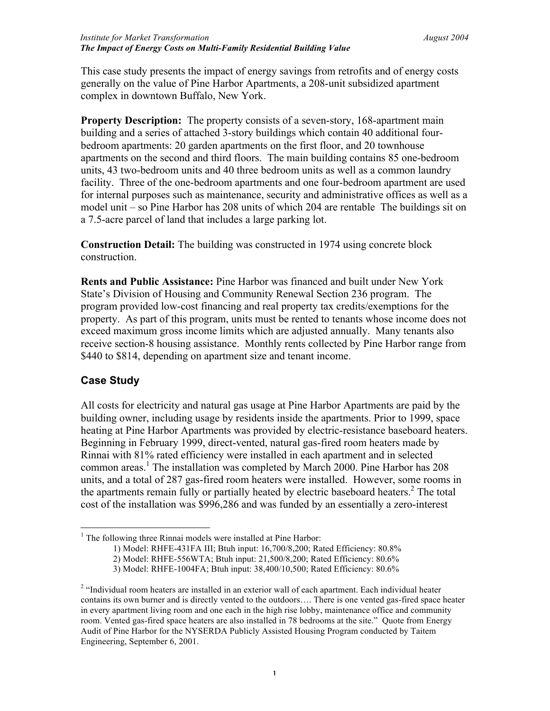This case study presents the impact of energy savings from retrofits and of energy costs generally on the value of Pine Harbor Apartments, a 208-unit subsidized apartment complex in downtown Buffalo, New York.

**Property Description:** The property consists of a seven-story, 168-apartment main building and a series of attached 3-story buildings which contain 40 additional fourbedroom apartments: 20 garden apartments on the first floor, and 20 townhouse apartments on the second and third floors. The main building contains 85 one-bedroom units, 43 two-bedroom units and 40 three bedroom units as well as a common laundry facility. Three of the one-bedroom apartments and one four-bedroom apartment are used for internal purposes such as maintenance, security and administrative offices as well as a model unit – so Pine Harbor has 208 units of which 204 are rentable The buildings sit on a 7.5-acre parcel of land that includes a large parking lot.

**Construction Detail:** The building was constructed in 1974 using concrete block construction.

**Rents and Public Assistance:** Pine Harbor was financed and built under New York State's Division of Housing and Community Renewal Section 236 program. The program provided low-cost financing and real property tax credits/exemptions for the property. As part of this program, units must be rented to tenants whose income does not exceed maximum gross income limits which are adjusted annually. Many tenants also receive section-8 housing assistance. Monthly rents collected by Pine Harbor range from \$440 to \$814, depending on apartment size and tenant income.

## **Case Study**

All costs for electricity and natural gas usage at Pine Harbor Apartments are paid by the building owner, including usage by residents inside the apartments. Prior to 1999, space heating at Pine Harbor Apartments was provided by electric-resistance baseboard heaters. Beginning in February 1999, direct-vented, natural gas-fired room heaters made by Rinnai with 81% rated efficiency were installed in each apartment and in selected common areas.<sup>1</sup> The installation was completed by March 2000. Pine Harbor has 208 units, and a total of 287 gas-fired room heaters were installed. However, some rooms in the apartments remain fully or partially heated by electric baseboard heaters. $2$  The total cost of the installation was \$996,286 and was funded by an essentially a zero-interest

 $<sup>1</sup>$  The following three Rinnai models were installed at Pine Harbor:</sup>

<sup>1)</sup> Model: RHFE-431FA III; Btuh input: 16,700/8,200; Rated Efficiency: 80.8%

<sup>2)</sup> Model: RHFE-556WTA; Btuh input: 21,500/8,200; Rated Efficiency: 80.6%

<sup>3)</sup> Model: RHFE-1004FA; Btuh input: 38,400/10,500; Rated Efficiency: 80.6%

<sup>&</sup>lt;sup>2</sup> "Individual room heaters are installed in an exterior wall of each apartment. Each individual heater contains its own burner and is directly vented to the outdoors…. There is one vented gas-fired space heater in every apartment living room and one each in the high rise lobby, maintenance office and community room. Vented gas-fired space heaters are also installed in 78 bedrooms at the site." Quote from Energy Audit of Pine Harbor for the NYSERDA Publicly Assisted Housing Program conducted by Taitem Engineering, September 6, 2001.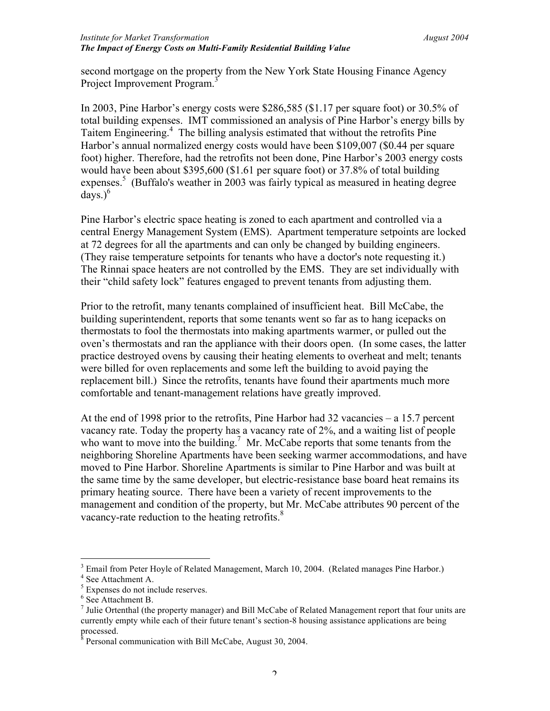second mortgage on the property from the New York State Housing Finance Agency Project Improvement Program.<sup>3</sup>

In 2003, Pine Harbor's energy costs were \$286,585 (\$1.17 per square foot) or 30.5% of total building expenses. IMT commissioned an analysis of Pine Harbor's energy bills by Taitem Engineering.<sup>4</sup> The billing analysis estimated that without the retrofits Pine Harbor's annual normalized energy costs would have been \$109,007 (\$0.44 per square foot) higher. Therefore, had the retrofits not been done, Pine Harbor's 2003 energy costs would have been about \$395,600 (\$1.61 per square foot) or 37.8% of total building expenses.<sup>5</sup> (Buffalo's weather in 2003 was fairly typical as measured in heating degree  $d$ ays.) $<sup>6</sup>$ </sup>

Pine Harbor's electric space heating is zoned to each apartment and controlled via a central Energy Management System (EMS). Apartment temperature setpoints are locked at 72 degrees for all the apartments and can only be changed by building engineers. (They raise temperature setpoints for tenants who have a doctor's note requesting it.) The Rinnai space heaters are not controlled by the EMS. They are set individually with their "child safety lock" features engaged to prevent tenants from adjusting them.

Prior to the retrofit, many tenants complained of insufficient heat. Bill McCabe, the building superintendent, reports that some tenants went so far as to hang icepacks on thermostats to fool the thermostats into making apartments warmer, or pulled out the oven's thermostats and ran the appliance with their doors open. (In some cases, the latter practice destroyed ovens by causing their heating elements to overheat and melt; tenants were billed for oven replacements and some left the building to avoid paying the replacement bill.) Since the retrofits, tenants have found their apartments much more comfortable and tenant-management relations have greatly improved.

At the end of 1998 prior to the retrofits, Pine Harbor had 32 vacancies – a 15.7 percent vacancy rate. Today the property has a vacancy rate of 2%, and a waiting list of people who want to move into the building.<sup>7</sup> Mr. McCabe reports that some tenants from the neighboring Shoreline Apartments have been seeking warmer accommodations, and have moved to Pine Harbor. Shoreline Apartments is similar to Pine Harbor and was built at the same time by the same developer, but electric-resistance base board heat remains its primary heating source. There have been a variety of recent improvements to the management and condition of the property, but Mr. McCabe attributes 90 percent of the vacancy-rate reduction to the heating retrofits.<sup>8</sup>

 <sup>3</sup> <sup>3</sup> Email from Peter Hoyle of Related Management, March 10, 2004. (Related manages Pine Harbor.) 4 See Attachment A.

 $<sup>5</sup>$  Expenses do not include reserves.</sup>

<sup>6</sup> See Attachment B.

 $<sup>7</sup>$  Julie Ortenthal (the property manager) and Bill McCabe of Related Management report that four units are</sup> currently empty while each of their future tenant's section-8 housing assistance applications are being processed.

<sup>&</sup>lt;sup>8</sup> Personal communication with Bill McCabe, August 30, 2004.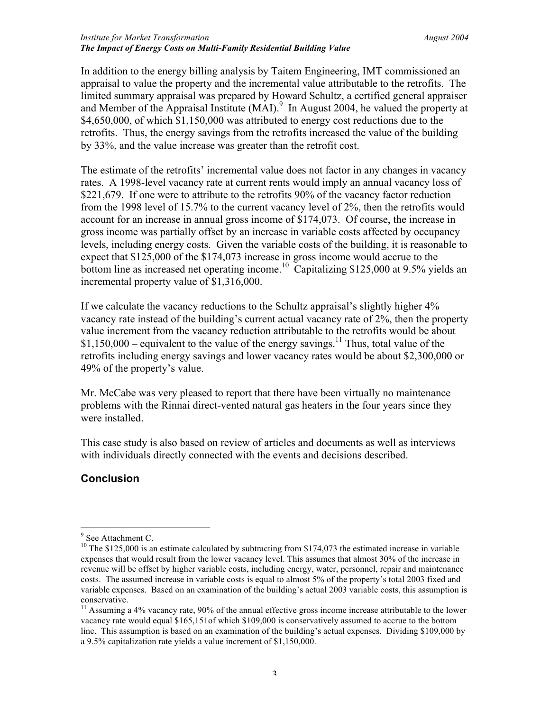In addition to the energy billing analysis by Taitem Engineering, IMT commissioned an appraisal to value the property and the incremental value attributable to the retrofits. The limited summary appraisal was prepared by Howard Schultz, a certified general appraiser and Member of the Appraisal Institute  $(MAI)$ <sup>9</sup> In August 2004, he valued the property at \$4,650,000, of which \$1,150,000 was attributed to energy cost reductions due to the retrofits. Thus, the energy savings from the retrofits increased the value of the building by 33%, and the value increase was greater than the retrofit cost.

The estimate of the retrofits' incremental value does not factor in any changes in vacancy rates. A 1998-level vacancy rate at current rents would imply an annual vacancy loss of \$221,679. If one were to attribute to the retrofits 90% of the vacancy factor reduction from the 1998 level of 15.7% to the current vacancy level of 2%, then the retrofits would account for an increase in annual gross income of \$174,073. Of course, the increase in gross income was partially offset by an increase in variable costs affected by occupancy levels, including energy costs. Given the variable costs of the building, it is reasonable to expect that \$125,000 of the \$174,073 increase in gross income would accrue to the bottom line as increased net operating income.<sup>10</sup> Capitalizing \$125,000 at 9.5% yields an incremental property value of \$1,316,000.

If we calculate the vacancy reductions to the Schultz appraisal's slightly higher 4% vacancy rate instead of the building's current actual vacancy rate of 2%, then the property value increment from the vacancy reduction attributable to the retrofits would be about  $$1,150,000$  – equivalent to the value of the energy savings.<sup>11</sup> Thus, total value of the retrofits including energy savings and lower vacancy rates would be about \$2,300,000 or 49% of the property's value.

Mr. McCabe was very pleased to report that there have been virtually no maintenance problems with the Rinnai direct-vented natural gas heaters in the four years since they were installed.

This case study is also based on review of articles and documents as well as interviews with individuals directly connected with the events and decisions described.

## **Conclusion**

<sup>-&</sup>lt;br>9  $9$  See Attachment C.

 $10$  The \$125,000 is an estimate calculated by subtracting from \$174,073 the estimated increase in variable expenses that would result from the lower vacancy level. This assumes that almost 30% of the increase in revenue will be offset by higher variable costs, including energy, water, personnel, repair and maintenance costs. The assumed increase in variable costs is equal to almost 5% of the property's total 2003 fixed and variable expenses. Based on an examination of the building's actual 2003 variable costs, this assumption is conservative.<br><sup>11</sup> Assuming a 4% vacancy rate, 90% of the annual effective gross income increase attributable to the lower

vacancy rate would equal \$165,151of which \$109,000 is conservatively assumed to accrue to the bottom line. This assumption is based on an examination of the building's actual expenses. Dividing \$109,000 by a 9.5% capitalization rate yields a value increment of \$1,150,000.